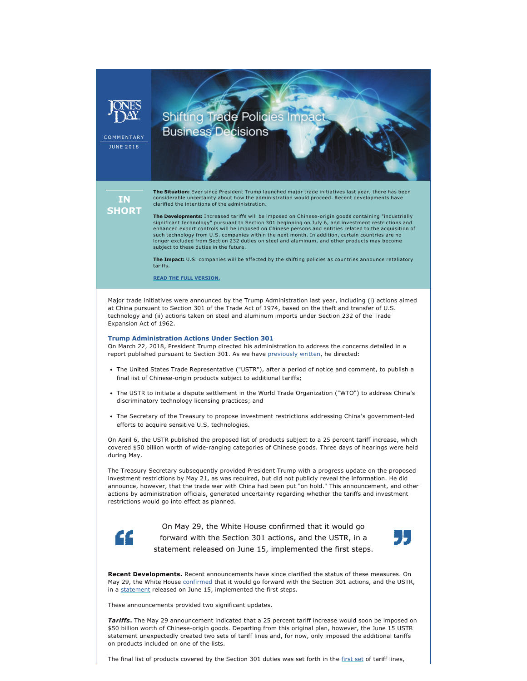COMMENTARY **JUNE 2018** 

**IN SHORT**  **The Situation:** Ever since President Trump launched major trade initiatives last year, there has been considerable uncertainty about how the administration would proceed. Recent developments have clarified the intentions of the administration.

**Shifting Trade Policies Im** 

**Business Decisions** 

**The Developments:** Increased tariffs will be imposed on Chinese-origin goods containing "industrially significant technology" pursuant to Section 301 beginning on July 6, and investment restrictions and enhanced export controls will be imposed on Chinese persons and entities related to the acquisition of such technology from U.S. companies within the next month. In addition, certain countries are no longer excluded from Section 232 duties on steel and aluminum, and other products may become subject to these duties in the future.

**The Impact:** U.S. companies will be affected by the shifting policies as countries announce retaliatory tariffs.

**[READ THE FULL VERSION.](http://www.jonesday.com/shifting-trade-policies-impact-business-decisions-06-20-2018/)**

Major trade initiatives were announced by the Trump Administration last year, including (i) actions aimed at China pursuant to Section 301 of the Trade Act of 1974, based on the theft and transfer of U.S. technology and (ii) actions taken on steel and aluminum imports under Section 232 of the Trade Expansion Act of 1962.

## **Trump Administration Actions Under Section 301**

On March 22, 2018, President Trump directed his administration to address the concerns detailed in a report published pursuant to Section 301. As we have [previously written](http://www.jonesday.com/tariffs-on-china-are-comingrestrictions-on-chinese-investment-in-the-united-states-may-be-next-04-05-2018/), he directed:

- The United States Trade Representative ("USTR"), after a period of notice and comment, to publish a final list of Chinese-origin products subject to additional tariffs;
- The USTR to initiate a dispute settlement in the World Trade Organization ("WTO") to address China's discriminatory technology licensing practices; and
- The Secretary of the Treasury to propose investment restrictions addressing China's government-led efforts to acquire sensitive U.S. technologies.

On April 6, the USTR published the proposed list of products subject to a 25 percent tariff increase, which covered \$50 billion worth of wide-ranging categories of Chinese goods. Three days of hearings were held during May.

The Treasury Secretary subsequently provided President Trump with a progress update on the proposed investment restrictions by May 21, as was required, but did not publicly reveal the information. He did announce, however, that the trade war with China had been put "on hold." This announcement, and other actions by administration officials, generated uncertainty regarding whether the tariffs and investment restrictions would go into effect as planned.



On May 29, the White House confirmed that it would go forward with the Section 301 actions, and the USTR, in a statement released on June 15, implemented the first steps.



**Recent Developments.** Recent announcements have since clarified the status of these measures. On May 29, the White House [confirmed](https://www.whitehouse.gov/briefings-statements/statement-steps-protect-domestic-technology-intellectual-property-chinas-discriminatory-burdensome-trade-practices/) that it would go forward with the Section 301 actions, and the USTR, in a [statement](https://ustr.gov/about-us/policy-offices/press-office/press-releases/2018/june/ustr-issues-tariffs-chinese-products) released on June 15, implemented the first steps.

These announcements provided two significant updates.

*Tariffs***.** The May 29 announcement indicated that a 25 percent tariff increase would soon be imposed on \$50 billion worth of Chinese-origin goods. Departing from this original plan, however, the June 15 USTR statement unexpectedly created two sets of tariff lines and, for now, only imposed the additional tariffs on products included on one of the lists.

The final list of products covered by the Section 301 duties was set forth in the [first set](https://ustr.gov/sites/default/files/enforcement/301Investigations/List%201.pdf) of tariff lines,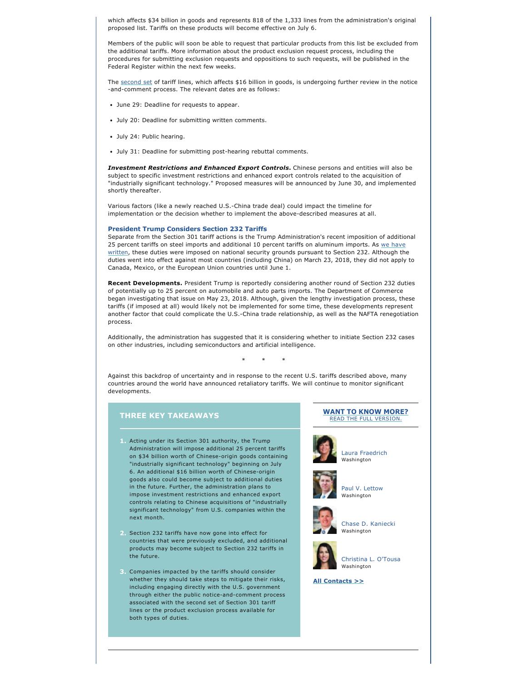which affects \$34 billion in goods and represents 818 of the 1,333 lines from the administration's original proposed list. Tariffs on these products will become effective on July 6.

Members of the public will soon be able to request that particular products from this list be excluded from the additional tariffs. More information about the product exclusion request process, including the procedures for submitting exclusion requests and oppositions to such requests, will be published in the Federal Register within the next few weeks.

The [second set](https://ustr.gov/sites/default/files/enforcement/301Investigations/List%202.pdf) of tariff lines, which affects \$16 billion in goods, is undergoing further review in the notice -and-comment process. The relevant dates are as follows:

- June 29: Deadline for requests to appear.
- July 20: Deadline for submitting written comments.
- July 24: Public hearing.
- July 31: Deadline for submitting post-hearing rebuttal comments.

*Investment Restrictions and Enhanced Export Controls***.** Chinese persons and entities will also be subject to specific investment restrictions and enhanced export controls related to the acquisition of "industrially significant technology." Proposed measures will be announced by June 30, and implemented shortly thereafter.

Various factors (like a newly reached U.S.-China trade deal) could impact the timeline for implementation or the decision whether to implement the above-described measures at all.

#### **President Trump Considers Section 232 Tariffs**

Separate from the Section 301 tariff actions is the Trump Administration's recent imposition of additional 25 percent tariffs on steel imports and additional 10 percent tariffs on aluminum imports. As we have [written,](http://www.jonesday.com/presidential-proclamations-impose-tariffs-on-aluminum-and-steel-imports-03-15-2018/) these duties were imposed on national security grounds pursuant to Section 232. Although the duties went into effect against most countries (including China) on March 23, 2018, they did not apply to Canada, Mexico, or the European Union countries until June 1.

**Recent Developments.** President Trump is reportedly considering another round of Section 232 duties of potentially up to 25 percent on automobile and auto parts imports. The Department of Commerce began investigating that issue on May 23, 2018. Although, given the lengthy investigation process, these tariffs (if imposed at all) would likely not be implemented for some time, these developments represent another factor that could complicate the U.S.-China trade relationship, as well as the NAFTA renegotiation process.

Additionally, the administration has suggested that it is considering whether to initiate Section 232 cases on other industries, including semiconductors and artificial intelligence.

\* \* \*

Against this backdrop of uncertainty and in response to the recent U.S. tariffs described above, many countries around the world have announced retaliatory tariffs. We will continue to monitor significant developments.

# **THREE KEY TAKEAWAYS**

- **1.** Acting under its Section 301 authority, the Trump Administration will impose additional 25 percent tariffs on \$34 billion worth of Chinese-origin goods containing "industrially significant technology" beginning on July 6. An additional \$16 billion worth of Chinese-origin goods also could become subject to additional duties in the future. Further, the administration plans to impose investment restrictions and enhanced export controls relating to Chinese acquisitions of "industrially significant technology" from U.S. companies within the next month.
- **2.** Section 232 tariffs have now gone into effect for countries that were previously excluded, and additional products may become subject to Section 232 tariffs in the future.
- **3.** Companies impacted by the tariffs should consider whether they should take steps to mitigate their risks, including engaging directly with the U.S. government through either the public notice-and-comment process associated with the second set of Section 301 tariff lines or the product exclusion process available for both types of duties.

### **[WANT TO KNOW MORE?](http://www.jonesday.com/shifting-trade-policies-impact-business-decisions-06-20-2018/)** [READ THE FULL VERSION.](http://www.jonesday.com/shifting-trade-policies-impact-business-decisions-06-20-2018/)



[Laura Fraedrich](http://www.jonesday.com/lfraedrich) Washington





Washington



[Chase D. Kaniecki](http://www.jonesday.com/ckaniecki) Washington



[Christina L. O'Tousa](http://www.jonesday.com/cotousa) Washington

**[All Contacts >>](https://jonesday-ecommunications.com/234/2574/downloads/shifting-trade-policies-contacts.pdf)**